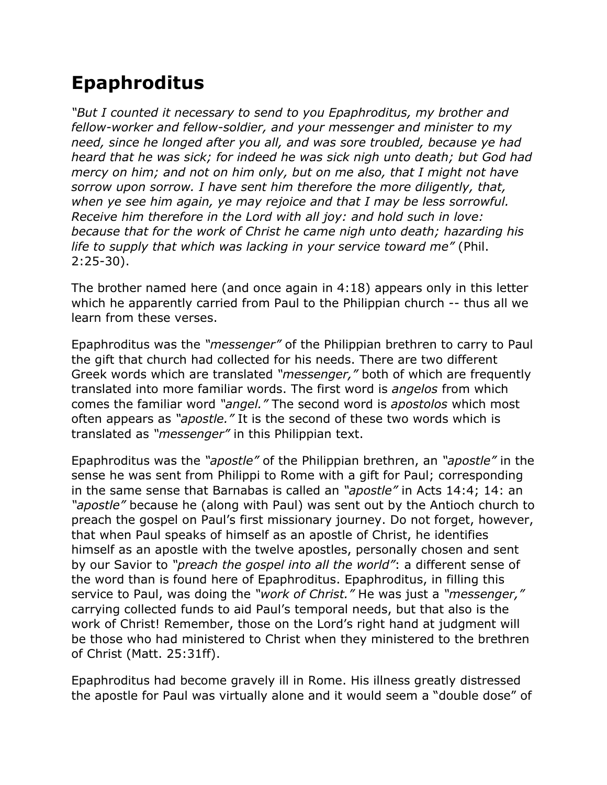## **Epaphroditus**

*"But I counted it necessary to send to you Epaphroditus, my brother and fellow-worker and fellow-soldier, and your messenger and minister to my need, since he longed after you all, and was sore troubled, because ye had heard that he was sick; for indeed he was sick nigh unto death; but God had mercy on him; and not on him only, but on me also, that I might not have sorrow upon sorrow. I have sent him therefore the more diligently, that, when ye see him again, ye may rejoice and that I may be less sorrowful. Receive him therefore in the Lord with all joy: and hold such in love: because that for the work of Christ he came nigh unto death; hazarding his life to supply that which was lacking in your service toward me"* (Phil. 2:25-30).

The brother named here (and once again in 4:18) appears only in this letter which he apparently carried from Paul to the Philippian church -- thus all we learn from these verses.

Epaphroditus was the *"messenger"* of the Philippian brethren to carry to Paul the gift that church had collected for his needs. There are two different Greek words which are translated *"messenger,"* both of which are frequently translated into more familiar words. The first word is *angelos* from which comes the familiar word *"angel."* The second word is *apostolos* which most often appears as *"apostle."* It is the second of these two words which is translated as *"messenger"* in this Philippian text.

Epaphroditus was the *"apostle"* of the Philippian brethren, an *"apostle"* in the sense he was sent from Philippi to Rome with a gift for Paul; corresponding in the same sense that Barnabas is called an *"apostle"* in Acts 14:4; 14: an *"apostle"* because he (along with Paul) was sent out by the Antioch church to preach the gospel on Paul's first missionary journey. Do not forget, however, that when Paul speaks of himself as an apostle of Christ, he identifies himself as an apostle with the twelve apostles, personally chosen and sent by our Savior to *"preach the gospel into all the world"*: a different sense of the word than is found here of Epaphroditus. Epaphroditus, in filling this service to Paul, was doing the *"work of Christ."* He was just a *"messenger,"* carrying collected funds to aid Paul's temporal needs, but that also is the work of Christ! Remember, those on the Lord's right hand at judgment will be those who had ministered to Christ when they ministered to the brethren of Christ (Matt. 25:31ff).

Epaphroditus had become gravely ill in Rome. His illness greatly distressed the apostle for Paul was virtually alone and it would seem a "double dose" of